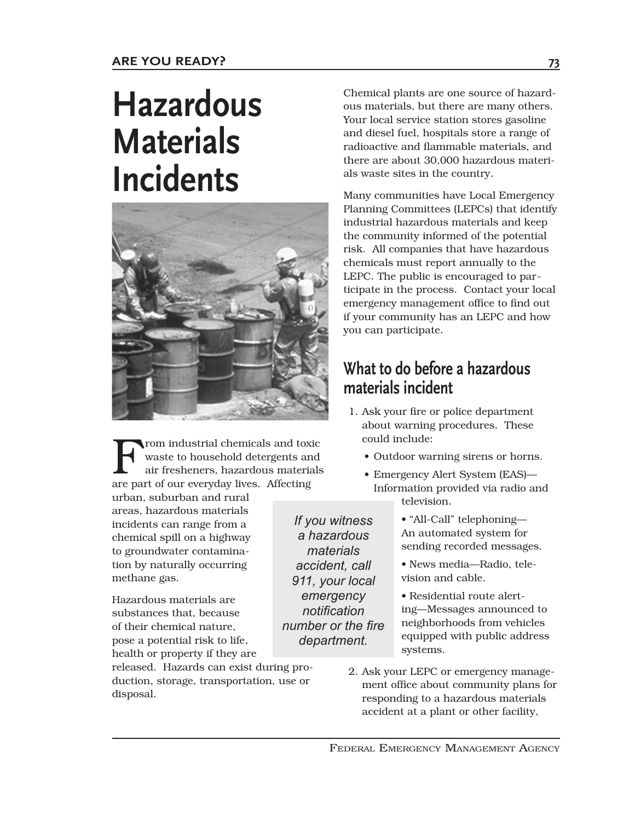# **Hazardous Materials Incidents**



rom industrial chemicals and toxic waste to household detergents and air fresheners, hazardous materials are part of our everyday lives. Affecting

urban, suburban and rural areas, hazardous materials incidents can range from a chemical spill on a highway to groundwater contamination by naturally occurring methane gas.

Hazardous materials are substances that, because of their chemical nature, pose a potential risk to life, health or property if they are

released. Hazards can exist during production, storage, transportation, use or disposal.

Chemical plants are one source of hazardous materials, but there are many others. Your local service station stores gasoline and diesel fuel, hospitals store a range of radioactive and flammable materials, and there are about 30,000 hazardous materials waste sites in the country.

Many communities have Local Emergency Planning Committees (LEPCs) that identify industrial hazardous materials and keep the community informed of the potential risk. All companies that have hazardous chemicals must report annually to the LEPC. The public is encouraged to participate in the process. Contact your local emergency management office to find out if your community has an LEPC and how you can participate.

### **What to do before a hazardous materials incident**

- 1. Ask your fire or police department about warning procedures. These could include:
	- Outdoor warning sirens or horns.
	- Emergency Alert System (EAS)— Information provided via radio and television.

• "All-Call" telephoning— An automated system for sending recorded messages.

• News media—Radio, television and cable.

• Residential route alerting—Messages announced to neighborhoods from vehicles equipped with public address systems.

 2. Ask your LEPC or emergency management office about community plans for responding to a hazardous materials accident at a plant or other facility,

FEDERAL EMERGENCY MANAGEMENT AGENCY

*a hazardous materials accident, call 911, your local emergency notification number or the fire department.*

*If you witness*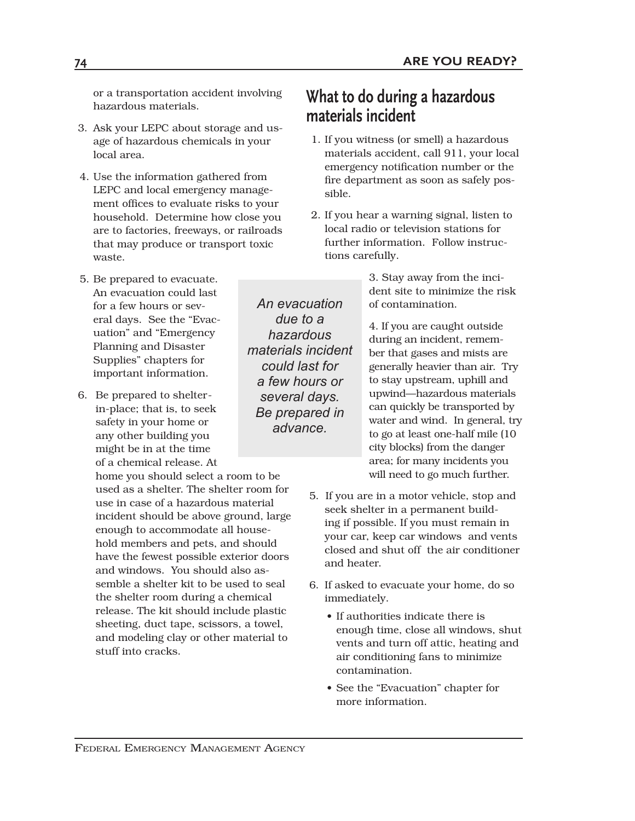or a transportation accident involving hazardous materials.

- 3. Ask your LEPC about storage and usage of hazardous chemicals in your local area.
- 4. Use the information gathered from LEPC and local emergency management offices to evaluate risks to your household. Determine how close you are to factories, freeways, or railroads that may produce or transport toxic waste.
- 5. Be prepared to evacuate. An evacuation could last for a few hours or several days. See the "Evacuation" and "Emergency Planning and Disaster Supplies" chapters for important information.
- 6. Be prepared to shelterin-place; that is, to seek safety in your home or any other building you might be in at the time of a chemical release. At

home you should select a room to be used as a shelter. The shelter room for use in case of a hazardous material incident should be above ground, large enough to accommodate all household members and pets, and should have the fewest possible exterior doors and windows. You should also assemble a shelter kit to be used to seal the shelter room during a chemical release. The kit should include plastic sheeting, duct tape, scissors, a towel, and modeling clay or other material to stuff into cracks.

**What to do during a hazardous materials incident**

- 1. If you witness (or smell) a hazardous materials accident, call 911, your local emergency notification number or the fire department as soon as safely possible.
- 2. If you hear a warning signal, listen to local radio or television stations for further information. Follow instructions carefully.

*An evacuation due to a hazardous materials incident could last for a few hours or several days. Be prepared in advance.*

3. Stay away from the incident site to minimize the risk of contamination.

4. If you are caught outside during an incident, remember that gases and mists are generally heavier than air. Try to stay upstream, uphill and upwind—hazardous materials can quickly be transported by water and wind. In general, try to go at least one-half mile (10 city blocks) from the danger area; for many incidents you will need to go much further.

- 5. If you are in a motor vehicle, stop and seek shelter in a permanent building if possible. If you must remain in your car, keep car windows and vents closed and shut off the air conditioner and heater.
- 6. If asked to evacuate your home, do so immediately.
	- If authorities indicate there is enough time, close all windows, shut vents and turn off attic, heating and air conditioning fans to minimize contamination.
	- See the "Evacuation" chapter for more information.

FEDERAL EMERGENCY MANAGEMENT AGENCY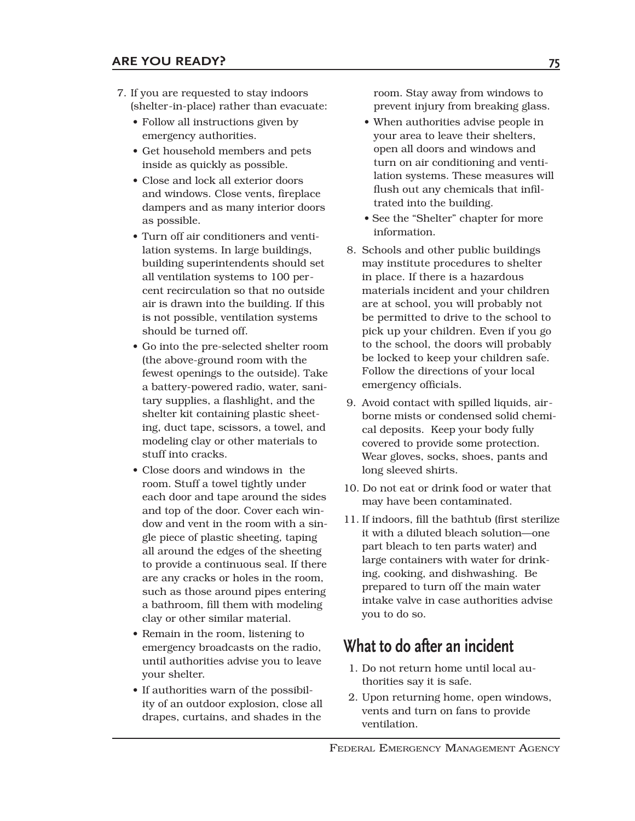- 7. If you are requested to stay indoors (shelter-in-place) rather than evacuate:
	- Follow all instructions given by emergency authorities.
	- Get household members and pets inside as quickly as possible.
	- Close and lock all exterior doors and windows. Close vents, fireplace dampers and as many interior doors as possible.
	- Turn off air conditioners and ventilation systems. In large buildings, building superintendents should set all ventilation systems to 100 percent recirculation so that no outside air is drawn into the building. If this is not possible, ventilation systems should be turned off.
	- Go into the pre-selected shelter room (the above-ground room with the fewest openings to the outside). Take a battery-powered radio, water, sanitary supplies, a flashlight, and the shelter kit containing plastic sheeting, duct tape, scissors, a towel, and modeling clay or other materials to stuff into cracks.
	- Close doors and windows in the room. Stuff a towel tightly under each door and tape around the sides and top of the door. Cover each window and vent in the room with a single piece of plastic sheeting, taping all around the edges of the sheeting to provide a continuous seal. If there are any cracks or holes in the room, such as those around pipes entering a bathroom, fill them with modeling clay or other similar material.
	- Remain in the room, listening to emergency broadcasts on the radio, until authorities advise you to leave your shelter.
	- If authorities warn of the possibility of an outdoor explosion, close all drapes, curtains, and shades in the

room. Stay away from windows to prevent injury from breaking glass.

- When authorities advise people in your area to leave their shelters, open all doors and windows and turn on air conditioning and ventilation systems. These measures will flush out any chemicals that infiltrated into the building.
- See the "Shelter" chapter for more information.
- 8. Schools and other public buildings may institute procedures to shelter in place. If there is a hazardous materials incident and your children are at school, you will probably not be permitted to drive to the school to pick up your children. Even if you go to the school, the doors will probably be locked to keep your children safe. Follow the directions of your local emergency officials.
- 9. Avoid contact with spilled liquids, airborne mists or condensed solid chemical deposits. Keep your body fully covered to provide some protection. Wear gloves, socks, shoes, pants and long sleeved shirts.
- 10. Do not eat or drink food or water that may have been contaminated.
- 11. If indoors, fill the bathtub (first sterilize it with a diluted bleach solution—one part bleach to ten parts water) and large containers with water for drinking, cooking, and dishwashing. Be prepared to turn off the main water intake valve in case authorities advise you to do so.

#### **What to do after an incident**

- 1. Do not return home until local authorities say it is safe.
- 2. Upon returning home, open windows, vents and turn on fans to provide ventilation.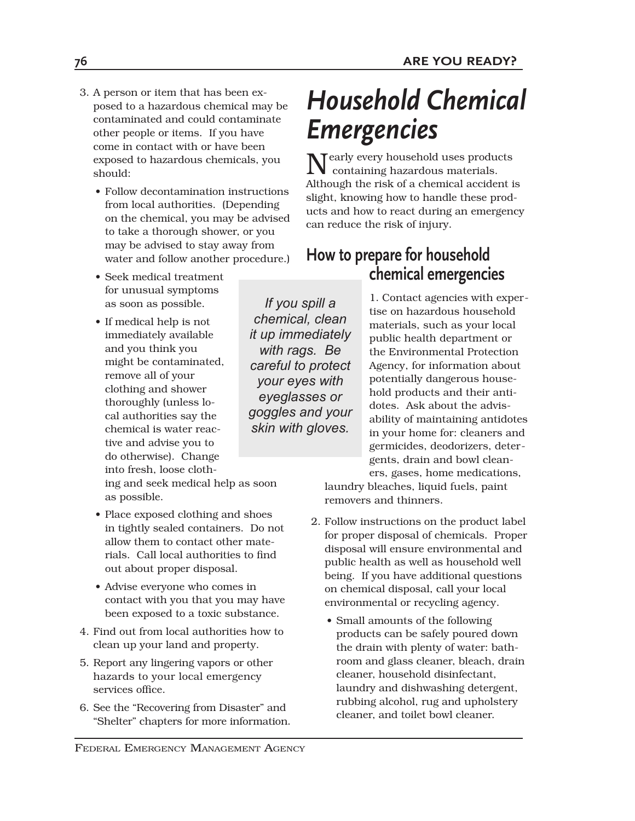- 3. A person or item that has been exposed to a hazardous chemical may be contaminated and could contaminate other people or items. If you have come in contact with or have been exposed to hazardous chemicals, you should:
	- Follow decontamination instructions from local authorities. (Depending on the chemical, you may be advised to take a thorough shower, or you may be advised to stay away from water and follow another procedure.)
	- Seek medical treatment for unusual symptoms as soon as possible.
	- If medical help is not immediately available and you think you might be contaminated, remove all of your clothing and shower thoroughly (unless local authorities say the chemical is water reactive and advise you to do otherwise). Change into fresh, loose cloth-

ing and seek medical help as soon as possible.

- Place exposed clothing and shoes in tightly sealed containers. Do not allow them to contact other materials. Call local authorities to find out about proper disposal.
- Advise everyone who comes in contact with you that you may have been exposed to a toxic substance.
- 4. Find out from local authorities how to clean up your land and property.
- 5. Report any lingering vapors or other hazards to your local emergency services office.
- 6. See the "Recovering from Disaster" and "Shelter" chapters for more information.

*Household Chemical Emergencies*

Nearly every household uses products containing hazardous materials. Although the risk of a chemical accident is slight, knowing how to handle these products and how to react during an emergency can reduce the risk of injury.

# **How to prepare for household chemical emergencies**

*If you spill a chemical, clean it up immediately with rags. Be careful to protect your eyes with eyeglasses or goggles and your skin with gloves.* 

1. Contact agencies with expertise on hazardous household materials, such as your local public health department or the Environmental Protection Agency, for information about potentially dangerous household products and their antidotes. Ask about the advisability of maintaining antidotes in your home for: cleaners and germicides, deodorizers, detergents, drain and bowl cleaners, gases, home medications,

laundry bleaches, liquid fuels, paint removers and thinners.

- 2. Follow instructions on the product label for proper disposal of chemicals. Proper disposal will ensure environmental and public health as well as household well being. If you have additional questions on chemical disposal, call your local environmental or recycling agency.
	- Small amounts of the following products can be safely poured down the drain with plenty of water: bathroom and glass cleaner, bleach, drain cleaner, household disinfectant, laundry and dishwashing detergent, rubbing alcohol, rug and upholstery cleaner, and toilet bowl cleaner.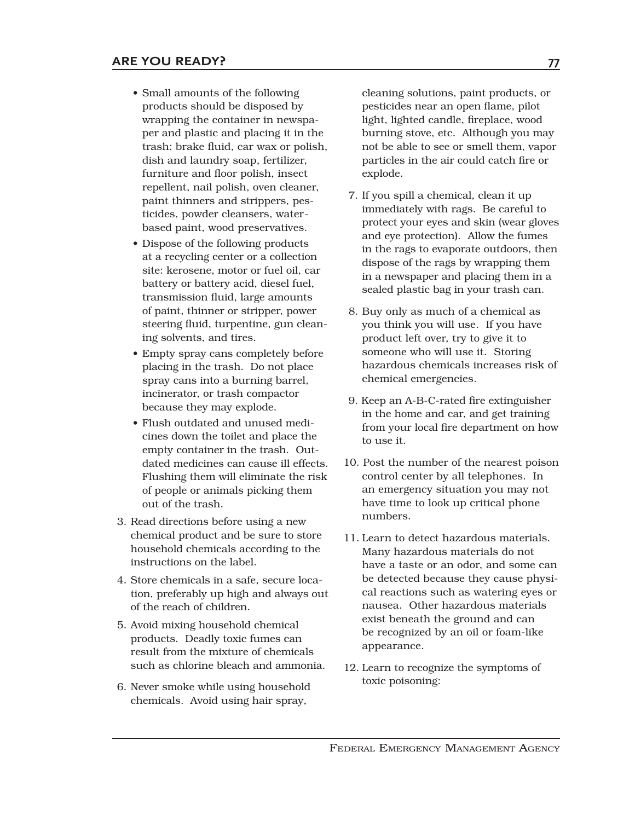- Small amounts of the following products should be disposed by wrapping the container in newspaper and plastic and placing it in the trash: brake fluid, car wax or polish, dish and laundry soap, fertilizer, furniture and floor polish, insect repellent, nail polish, oven cleaner, paint thinners and strippers, pesticides, powder cleansers, waterbased paint, wood preservatives.
- Dispose of the following products at a recycling center or a collection site: kerosene, motor or fuel oil, car battery or battery acid, diesel fuel, transmission fluid, large amounts of paint, thinner or stripper, power steering fluid, turpentine, gun cleaning solvents, and tires.
- Empty spray cans completely before placing in the trash. Do not place spray cans into a burning barrel, incinerator, or trash compactor because they may explode.
- Flush outdated and unused medicines down the toilet and place the empty container in the trash. Outdated medicines can cause ill effects. Flushing them will eliminate the risk of people or animals picking them out of the trash.
- 3. Read directions before using a new chemical product and be sure to store household chemicals according to the instructions on the label.
- 4. Store chemicals in a safe, secure location, preferably up high and always out of the reach of children.
- 5. Avoid mixing household chemical products. Deadly toxic fumes can result from the mixture of chemicals such as chlorine bleach and ammonia.
- 6. Never smoke while using household chemicals. Avoid using hair spray,

cleaning solutions, paint products, or pesticides near an open flame, pilot light, lighted candle, fireplace, wood burning stove, etc. Although you may not be able to see or smell them, vapor particles in the air could catch fire or explode.

- 7. If you spill a chemical, clean it up immediately with rags. Be careful to protect your eyes and skin (wear gloves and eye protection). Allow the fumes in the rags to evaporate outdoors, then dispose of the rags by wrapping them in a newspaper and placing them in a sealed plastic bag in your trash can.
- 8. Buy only as much of a chemical as you think you will use. If you have product left over, try to give it to someone who will use it. Storing hazardous chemicals increases risk of chemical emergencies.
- 9. Keep an A-B-C-rated fire extinguisher in the home and car, and get training from your local fire department on how to use it.
- 10. Post the number of the nearest poison control center by all telephones. In an emergency situation you may not have time to look up critical phone numbers.
- 11. Learn to detect hazardous materials. Many hazardous materials do not have a taste or an odor, and some can be detected because they cause physical reactions such as watering eyes or nausea. Other hazardous materials exist beneath the ground and can be recognized by an oil or foam-like appearance.
- 12. Learn to recognize the symptoms of toxic poisoning: